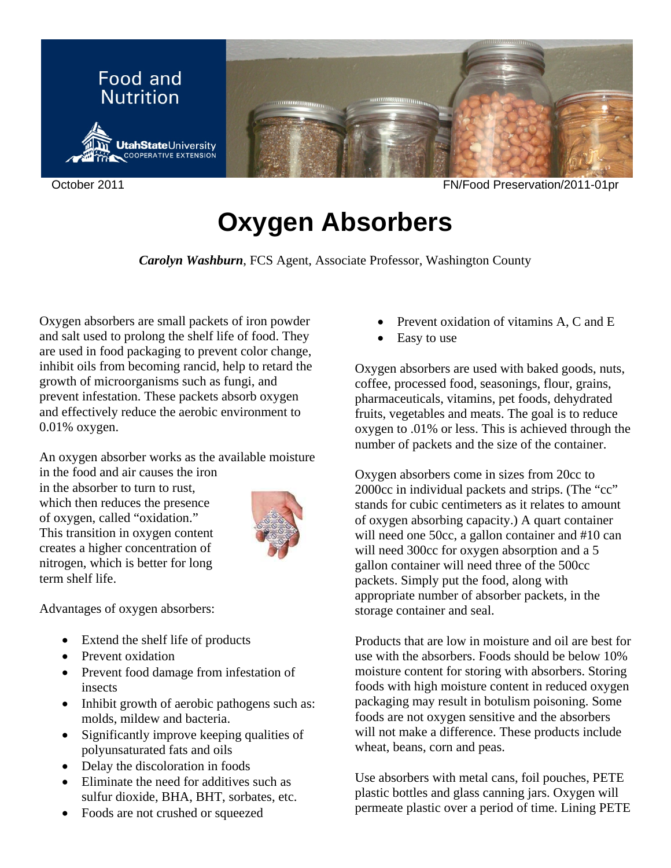

October 2011 FN/Food Preservation/2011-01pr

## **Oxygen Absorbers**

*Carolyn Washburn*, FCS Agent, Associate Professor, Washington County

Oxygen absorbers are small packets of iron powder and salt used to prolong the shelf life of food. They are used in food packaging to prevent color change, inhibit oils from becoming rancid, help to retard the growth of microorganisms such as fungi, and prevent infestation. These packets absorb oxygen and effectively reduce the aerobic environment to 0.01% oxygen.

An oxygen absorber works as the available moisture

in the food and air causes the iron in the absorber to turn to rust, which then reduces the presence of oxygen, called "oxidation." This transition in oxygen content creates a higher concentration of nitrogen, which is better for long term shelf life.



Advantages of oxygen absorbers:

- Extend the shelf life of products
- Prevent oxidation
- Prevent food damage from infestation of insects
- Inhibit growth of aerobic pathogens such as: molds, mildew and bacteria.
- Significantly improve keeping qualities of polyunsaturated fats and oils
- Delay the discoloration in foods
- Eliminate the need for additives such as sulfur dioxide, BHA, BHT, sorbates, etc.
- Foods are not crushed or squeezed
- Prevent oxidation of vitamins A, C and E
- Easy to use

Oxygen absorbers are used with baked goods, nuts, coffee, processed food, seasonings, flour, grains, pharmaceuticals, vitamins, pet foods, dehydrated fruits, vegetables and meats. The goal is to reduce oxygen to .01% or less. This is achieved through the number of packets and the size of the container.

Oxygen absorbers come in sizes from 20cc to 2000cc in individual packets and strips. (The "cc" stands for cubic centimeters as it relates to amount of oxygen absorbing capacity.) A quart container will need one 50cc, a gallon container and #10 can will need 300cc for oxygen absorption and a 5 gallon container will need three of the 500cc packets. Simply put the food, along with appropriate number of absorber packets, in the storage container and seal.

Products that are low in moisture and oil are best for use with the absorbers. Foods should be below 10% moisture content for storing with absorbers. Storing foods with high moisture content in reduced oxygen packaging may result in botulism poisoning. Some foods are not oxygen sensitive and the absorbers will not make a difference. These products include wheat, beans, corn and peas.

Use absorbers with metal cans, foil pouches, PETE plastic bottles and glass canning jars. Oxygen will permeate plastic over a period of time. Lining PETE